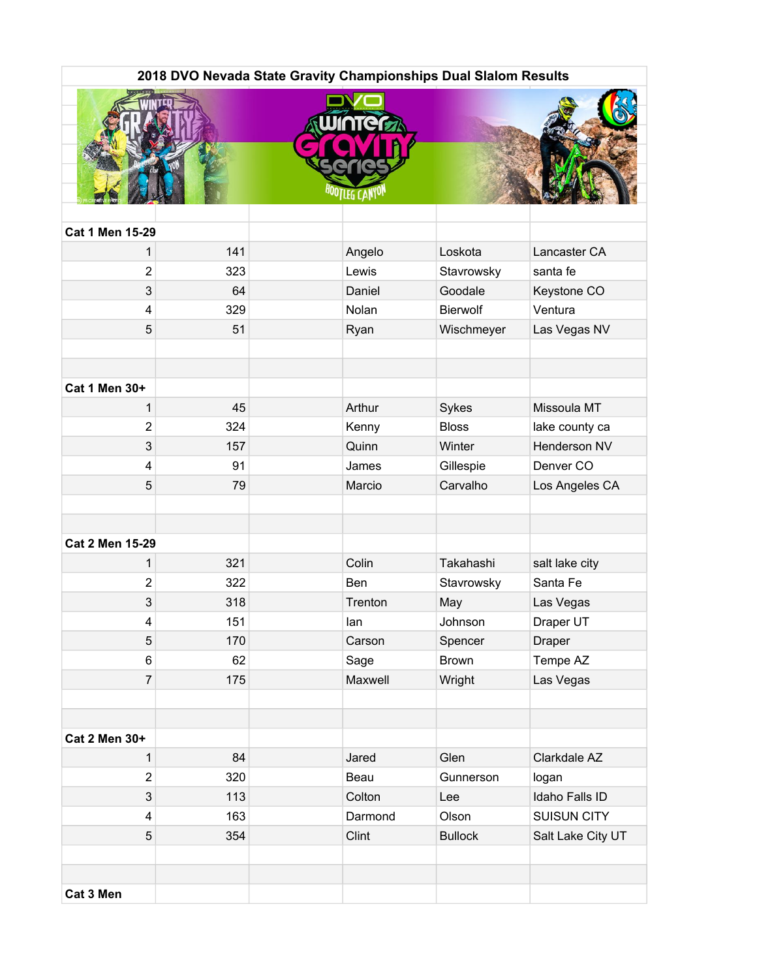| 2018 DVO Nevada State Gravity Championships Dual Slalom Results |     |         |                 |                    |  |  |  |
|-----------------------------------------------------------------|-----|---------|-----------------|--------------------|--|--|--|
|                                                                 |     |         |                 |                    |  |  |  |
| <b>Cat 1 Men 15-29</b>                                          |     |         |                 |                    |  |  |  |
| 1                                                               | 141 | Angelo  | Loskota         | Lancaster CA       |  |  |  |
| $\overline{2}$                                                  | 323 | Lewis   | Stavrowsky      | santa fe           |  |  |  |
| 3                                                               | 64  | Daniel  | Goodale         | Keystone CO        |  |  |  |
| 4                                                               | 329 | Nolan   | <b>Bierwolf</b> | Ventura            |  |  |  |
| 5                                                               | 51  | Ryan    | Wischmeyer      | Las Vegas NV       |  |  |  |
|                                                                 |     |         |                 |                    |  |  |  |
|                                                                 |     |         |                 |                    |  |  |  |
| Cat 1 Men 30+                                                   |     |         |                 |                    |  |  |  |
| 1                                                               | 45  | Arthur  | Sykes           | Missoula MT        |  |  |  |
| $\overline{2}$                                                  | 324 | Kenny   | <b>Bloss</b>    | lake county ca     |  |  |  |
| 3                                                               | 157 | Quinn   | Winter          | Henderson NV       |  |  |  |
| 4                                                               | 91  | James   | Gillespie       | Denver CO          |  |  |  |
| 5                                                               | 79  | Marcio  | Carvalho        | Los Angeles CA     |  |  |  |
|                                                                 |     |         |                 |                    |  |  |  |
|                                                                 |     |         |                 |                    |  |  |  |
| <b>Cat 2 Men 15-29</b>                                          |     |         |                 |                    |  |  |  |
| 1                                                               | 321 | Colin   | Takahashi       | salt lake city     |  |  |  |
| $\overline{2}$                                                  | 322 | Ben     | Stavrowsky      | Santa Fe           |  |  |  |
| 3                                                               | 318 | Trenton | May             | Las Vegas          |  |  |  |
| 4                                                               | 151 | lan     | Johnson         | Draper UT          |  |  |  |
| 5                                                               | 170 | Carson  | Spencer         | Draper             |  |  |  |
| 6                                                               | 62  | Sage    | <b>Brown</b>    | Tempe AZ           |  |  |  |
| $\overline{7}$                                                  | 175 | Maxwell | Wright          | Las Vegas          |  |  |  |
|                                                                 |     |         |                 |                    |  |  |  |
|                                                                 |     |         |                 |                    |  |  |  |
| Cat 2 Men 30+                                                   |     |         |                 |                    |  |  |  |
| 1                                                               | 84  | Jared   | Glen            | Clarkdale AZ       |  |  |  |
| $\overline{2}$                                                  | 320 | Beau    | Gunnerson       | logan              |  |  |  |
| 3                                                               | 113 | Colton  | Lee             | Idaho Falls ID     |  |  |  |
| 4                                                               | 163 | Darmond | Olson           | <b>SUISUN CITY</b> |  |  |  |
| 5                                                               | 354 | Clint   | <b>Bullock</b>  | Salt Lake City UT  |  |  |  |
|                                                                 |     |         |                 |                    |  |  |  |
| Cat 3 Men                                                       |     |         |                 |                    |  |  |  |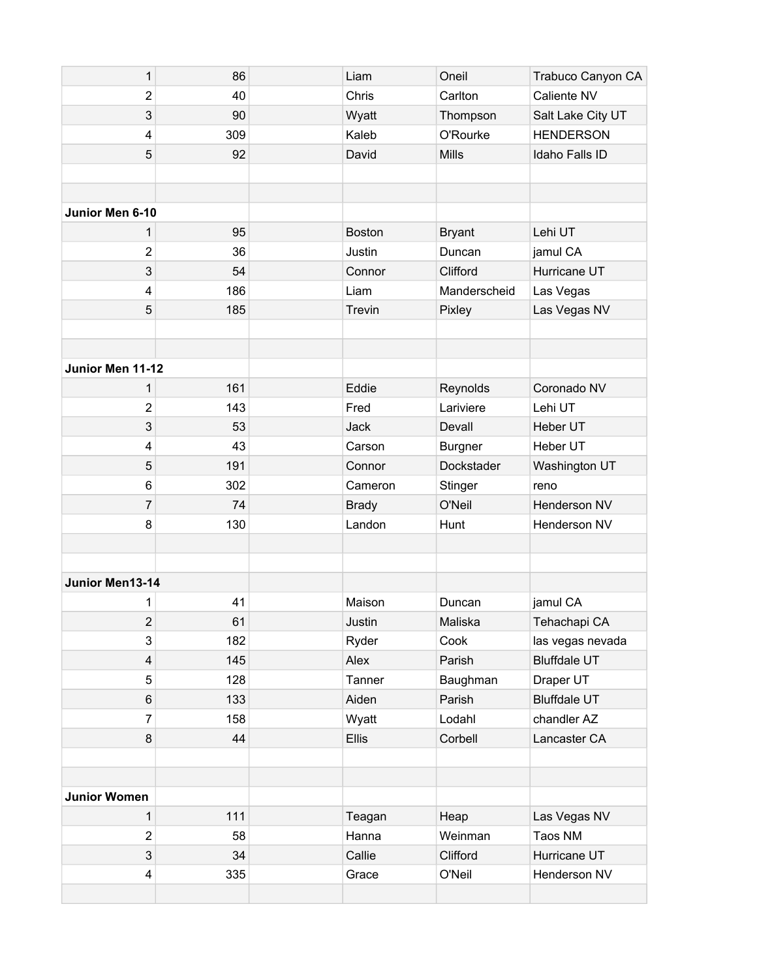| $\mathbf{1}$            | 86  | Liam         |               | Oneil          | Trabuco Canyon CA   |
|-------------------------|-----|--------------|---------------|----------------|---------------------|
| $\overline{2}$          | 40  | Chris        |               | Carlton        | Caliente NV         |
| 3                       | 90  |              | Wyatt         | Thompson       | Salt Lake City UT   |
| $\overline{\mathbf{4}}$ | 309 |              | Kaleb         | O'Rourke       | <b>HENDERSON</b>    |
| 5                       | 92  |              | David         | <b>Mills</b>   | Idaho Falls ID      |
|                         |     |              |               |                |                     |
|                         |     |              |               |                |                     |
| Junior Men 6-10         |     |              |               |                |                     |
| 1                       | 95  |              | <b>Boston</b> | <b>Bryant</b>  | Lehi UT             |
| $\overline{2}$          | 36  |              | Justin        | Duncan         | jamul CA            |
| 3                       | 54  |              | Connor        | Clifford       | Hurricane UT        |
| $\overline{\mathbf{4}}$ | 186 | Liam         |               | Manderscheid   | Las Vegas           |
| 5                       | 185 |              | Trevin        | Pixley         | Las Vegas NV        |
|                         |     |              |               |                |                     |
|                         |     |              |               |                |                     |
| Junior Men 11-12        |     |              |               |                |                     |
| 1                       | 161 |              | Eddie         | Reynolds       | Coronado NV         |
| $\overline{2}$          | 143 | Fred         |               | Lariviere      | Lehi UT             |
| 3                       | 53  | Jack         |               | Devall         | Heber UT            |
| $\overline{\mathbf{4}}$ | 43  |              | Carson        | <b>Burgner</b> | Heber UT            |
| 5                       | 191 |              | Connor        | Dockstader     | Washington UT       |
| 6                       | 302 |              | Cameron       | Stinger        | reno                |
| $\overline{7}$          | 74  |              | <b>Brady</b>  | O'Neil         | Henderson NV        |
| 8                       | 130 |              | Landon        | Hunt           | Henderson NV        |
|                         |     |              |               |                |                     |
|                         |     |              |               |                |                     |
| Junior Men13-14         |     |              |               |                |                     |
| 1                       | 41  |              | Maison        | Duncan         | jamul CA            |
| $\overline{c}$          | 61  |              | Justin        | Maliska        | Tehachapi CA        |
| 3                       | 182 |              | Ryder         | Cook           | las vegas nevada    |
| $\overline{\mathbf{4}}$ | 145 | Alex         |               | Parish         | <b>Bluffdale UT</b> |
| 5                       | 128 |              | Tanner        | Baughman       | Draper UT           |
| 6                       | 133 |              | Aiden         | Parish         | <b>Bluffdale UT</b> |
| 7                       | 158 |              | Wyatt         | Lodahl         | chandler AZ         |
| 8                       | 44  | <b>Ellis</b> |               | Corbell        | Lancaster CA        |
|                         |     |              |               |                |                     |
|                         |     |              |               |                |                     |
| <b>Junior Women</b>     |     |              |               |                |                     |
| $\mathbf 1$             | 111 |              | Teagan        | Heap           | Las Vegas NV        |
| $\overline{2}$          | 58  |              | Hanna         | Weinman        | Taos NM             |
| 3                       | 34  |              | Callie        | Clifford       | Hurricane UT        |
| $\overline{\mathbf{4}}$ | 335 |              | Grace         | O'Neil         | Henderson NV        |
|                         |     |              |               |                |                     |